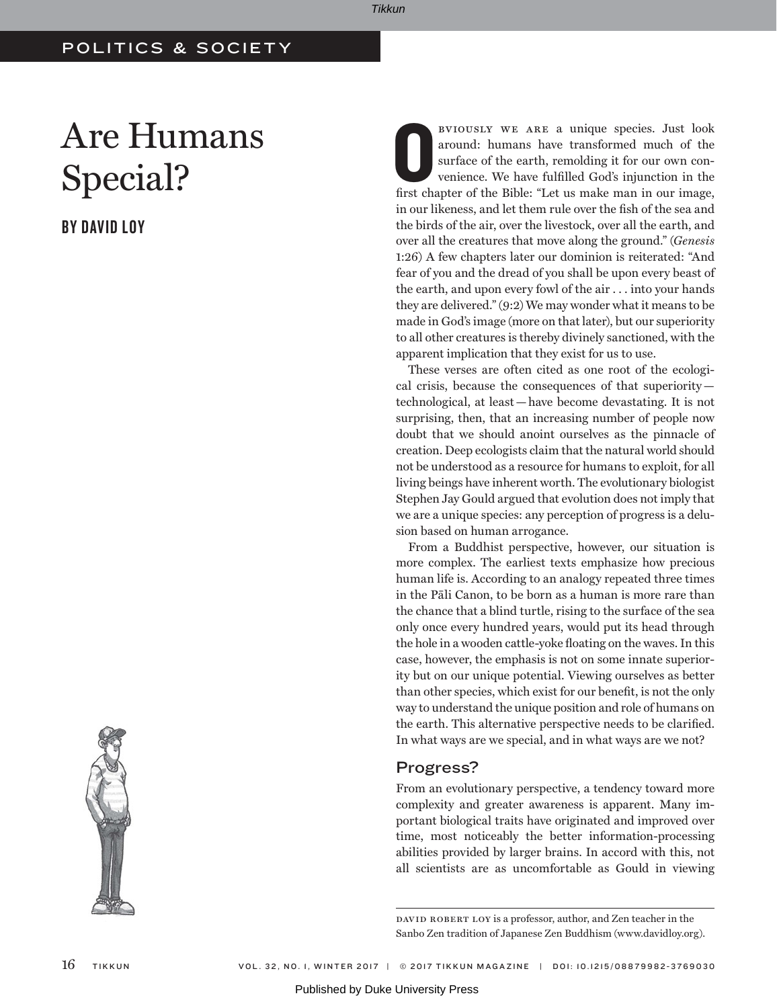## POLITICS & SOCIETY

# Are Humans Special?

BY DAVID LOY



BVIOUSLY WE ARE a unique species. Just look around: humans have transformed much of the surface of the earth, remolding it for our own convenience. We have fulfilled God's injunction in the first chapter of the Bible: "Let bviously we are a unique species. Just look around: humans have transformed much of the surface of the earth, remolding it for our own convenience. We have fulfilled God's injunction in the in our likeness, and let them rule over the fish of the sea and the birds of the air, over the livestock, over all the earth, and over all the creatures that move along the ground." (*Genesis*  1:26) A few chapters later our dominion is reiterated: "And fear of you and the dread of you shall be upon every beast of the earth, and upon every fowl of the air . . . into your hands they are delivered." (9:2) We may wonder what it means to be made in God's image (more on that later), but our superiority to all other creatures is thereby divinely sanctioned, with the apparent implication that they exist for us to use.

These verses are often cited as one root of the ecological crisis, because the consequences of that superiority technological, at least—have become devastating. It is not surprising, then, that an increasing number of people now doubt that we should anoint ourselves as the pinnacle of creation. Deep ecologists claim that the natural world should not be understood as a resource for humans to exploit, for all living beings have inherent worth. The evolutionary biologist Stephen Jay Gould argued that evolution does not imply that we are a unique species: any perception of progress is a delusion based on human arrogance.

From a Buddhist perspective, however, our situation is more complex. The earliest texts emphasize how precious human life is. According to an analogy repeated three times in the Pali Canon, to be born as a human is more rare than the chance that a blind turtle, rising to the surface of the sea only once every hundred years, would put its head through the hole in a wooden cattle-yoke floating on the waves. In this case, however, the emphasis is not on some innate superiority but on our unique potential. Viewing ourselves as better than other species, which exist for our benefit, is not the only way to understand the unique position and role of humans on the earth. This alternative perspective needs to be clarified. In what ways are we special, and in what ways are we not?

## Progress?

From an evolutionary perspective, a tendency toward more complexity and greater awareness is apparent. Many important biological traits have originated and improved over time, most noticeably the better information-processing abilities provided by larger brains. In accord with this, not all scientists are as uncomfortable as Gould in viewing

DAVID ROBERT LOY is a professor, author, and Zen teacher in the Sanbo Zen tradition of Japanese Zen Buddhism (www.davidloy.org).

Tikkun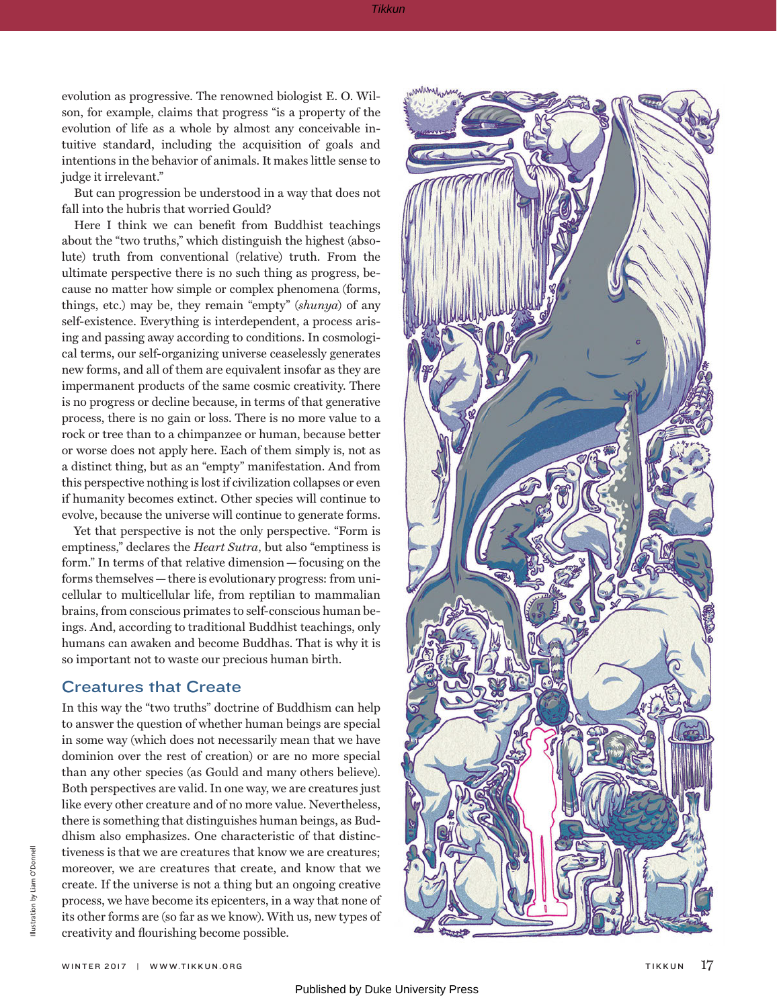evolution as progressive. The renowned biologist E. O. Wilson, for example, claims that progress "is a property of the evolution of life as a whole by almost any conceivable intuitive standard, including the acquisition of goals and intentions in the behavior of animals. It makes little sense to judge it irrelevant."

But can progression be understood in a way that does not fall into the hubris that worried Gould?

Here I think we can benefit from Buddhist teachings about the "two truths," which distinguish the highest (absolute) truth from conventional (relative) truth. From the ultimate perspective there is no such thing as progress, because no matter how simple or complex phenomena (forms, things, etc.) may be, they remain "empty" (*shunya*) of any self-existence. Everything is interdependent, a process arising and passing away according to conditions. In cosmological terms, our self-organizing universe ceaselessly generates new forms, and all of them are equivalent insofar as they are impermanent products of the same cosmic creativity. There is no progress or decline because, in terms of that generative process, there is no gain or loss. There is no more value to a rock or tree than to a chimpanzee or human, because better or worse does not apply here. Each of them simply is, not as a distinct thing, but as an "empty" manifestation. And from this perspective nothing is lost if civilization collapses or even if humanity becomes extinct. Other species will continue to evolve, because the universe will continue to generate forms.

Yet that perspective is not the only perspective. "Form is emptiness," declares the *Heart Sutra,* but also "emptiness is form." In terms of that relative dimension—focusing on the forms themselves—there is evolutionary progress: from unicellular to multicellular life, from reptilian to mammalian brains, from conscious primates to self-conscious human beings. And, according to traditional Buddhist teachings, only humans can awaken and become Buddhas. That is why it is so important not to waste our precious human birth.

#### Creatures that Create

In this way the "two truths" doctrine of Buddhism can help to answer the question of whether human beings are special in some way (which does not necessarily mean that we have dominion over the rest of creation) or are no more special than any other species (as Gould and many others believe). Both perspectives are valid. In one way, we are creatures just like every other creature and of no more value. Nevertheless, there is something that distinguishes human beings, as Buddhism also emphasizes. One characteristic of that distinctiveness is that we are creatures that know we are creatures; moreover, we are creatures that create, and know that we create. If the universe is not a thing but an ongoing creative process, we have become its epicenters, in a way that none of its other forms are (so far as we know). With us, new types of creativity and flourishing become possible.

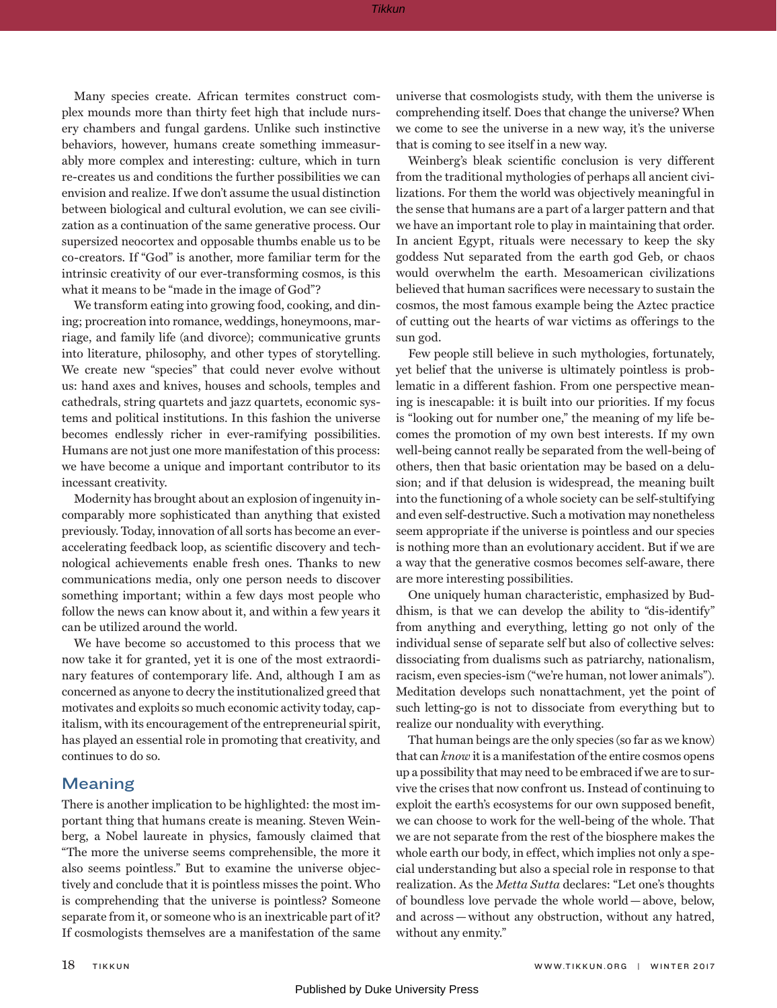Many species create. African termites construct complex mounds more than thirty feet high that include nursery chambers and fungal gardens. Unlike such instinctive behaviors, however, humans create something immeasurably more complex and interesting: culture, which in turn re-creates us and conditions the further possibilities we can envision and realize. If we don't assume the usual distinction between biological and cultural evolution, we can see civilization as a continuation of the same generative process. Our supersized neocortex and opposable thumbs enable us to be co-creators. If "God" is another, more familiar term for the intrinsic creativity of our ever-transforming cosmos, is this what it means to be "made in the image of God"?

We transform eating into growing food, cooking, and dining; procreation into romance, weddings, honeymoons, marriage, and family life (and divorce); communicative grunts into literature, philosophy, and other types of storytelling. We create new "species" that could never evolve without us: hand axes and knives, houses and schools, temples and cathedrals, string quartets and jazz quartets, economic systems and political institutions. In this fashion the universe becomes endlessly richer in ever-ramifying possibilities. Humans are not just one more manifestation of this process: we have become a unique and important contributor to its incessant creativity.

Modernity has brought about an explosion of ingenuity incomparably more sophisticated than anything that existed previously. Today, innovation of all sorts has become an everaccelerating feedback loop, as scientific discovery and technological achievements enable fresh ones. Thanks to new communications media, only one person needs to discover something important; within a few days most people who follow the news can know about it, and within a few years it can be utilized around the world.

We have become so accustomed to this process that we now take it for granted, yet it is one of the most extraordinary features of contemporary life. And, although I am as concerned as anyone to decry the institutionalized greed that motivates and exploits so much economic activity today, capitalism, with its encouragement of the entrepreneurial spirit, has played an essential role in promoting that creativity, and continues to do so.

#### Meaning

There is another implication to be highlighted: the most important thing that humans create is meaning. Steven Weinberg, a Nobel laureate in physics, famously claimed that "The more the universe seems comprehensible, the more it also seems pointless." But to examine the universe objectively and conclude that it is pointless misses the point. Who is comprehending that the universe is pointless? Someone separate from it, or someone who is an inextricable part of it? If cosmologists themselves are a manifestation of the same

universe that cosmologists study, with them the universe is comprehending itself. Does that change the universe? When we come to see the universe in a new way, it's the universe that is coming to see itself in a new way.

Weinberg's bleak scientific conclusion is very different from the traditional mythologies of perhaps all ancient civilizations. For them the world was objectively meaningful in the sense that humans are a part of a larger pattern and that we have an important role to play in maintaining that order. In ancient Egypt, rituals were necessary to keep the sky goddess Nut separated from the earth god Geb, or chaos would overwhelm the earth. Mesoamerican civilizations believed that human sacrifices were necessary to sustain the cosmos, the most famous example being the Aztec practice of cutting out the hearts of war victims as offerings to the sun god.

Few people still believe in such mythologies, fortunately, yet belief that the universe is ultimately pointless is problematic in a different fashion. From one perspective meaning is inescapable: it is built into our priorities. If my focus is "looking out for number one," the meaning of my life becomes the promotion of my own best interests. If my own well-being cannot really be separated from the well-being of others, then that basic orientation may be based on a delusion; and if that delusion is widespread, the meaning built into the functioning of a whole society can be self-stultifying and even self-destructive. Such a motivation may nonetheless seem appropriate if the universe is pointless and our species is nothing more than an evolutionary accident. But if we are a way that the generative cosmos becomes self-aware, there are more interesting possibilities.

One uniquely human characteristic, emphasized by Buddhism, is that we can develop the ability to "dis-identify" from anything and everything, letting go not only of the individual sense of separate self but also of collective selves: dissociating from dualisms such as patriarchy, nationalism, racism, even species-ism ("we're human, not lower animals"). Meditation develops such nonattachment, yet the point of such letting-go is not to dissociate from everything but to realize our nonduality with everything.

That human beings are the only species (so far as we know) that can *know* it is a manifestation of the entire cosmos opens up a possibility that may need to be embraced if we are to survive the crises that now confront us. Instead of continuing to exploit the earth's ecosystems for our own supposed benefit, we can choose to work for the well-being of the whole. That we are not separate from the rest of the biosphere makes the whole earth our body, in effect, which implies not only a special understanding but also a special role in response to that realization. As the *Metta Sutta* declares: "Let one's thoughts of boundless love pervade the whole world—above, below, and across—without any obstruction, without any hatred, without any enmity."